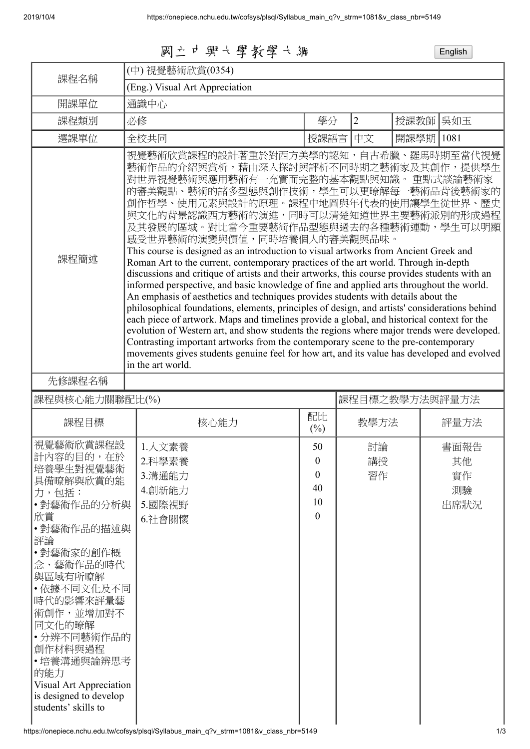國立中興大學教學大綱 English

| 課程名稱                                                                                                                                                                                                                                                                                                                | (中) 視覺藝術欣賞(0354)                                                                                                                                                                                                                                                                                                                                                                                                                                                                                                                                                                                                                                                                                                                                                                                                                                                                                                                                                                                                                                                                                                                                                                                                                                                                                  |                                                         |                |           |                                |  |  |  |
|---------------------------------------------------------------------------------------------------------------------------------------------------------------------------------------------------------------------------------------------------------------------------------------------------------------------|---------------------------------------------------------------------------------------------------------------------------------------------------------------------------------------------------------------------------------------------------------------------------------------------------------------------------------------------------------------------------------------------------------------------------------------------------------------------------------------------------------------------------------------------------------------------------------------------------------------------------------------------------------------------------------------------------------------------------------------------------------------------------------------------------------------------------------------------------------------------------------------------------------------------------------------------------------------------------------------------------------------------------------------------------------------------------------------------------------------------------------------------------------------------------------------------------------------------------------------------------------------------------------------------------|---------------------------------------------------------|----------------|-----------|--------------------------------|--|--|--|
| 開課單位                                                                                                                                                                                                                                                                                                                | (Eng.) Visual Art Appreciation<br>通識中心                                                                                                                                                                                                                                                                                                                                                                                                                                                                                                                                                                                                                                                                                                                                                                                                                                                                                                                                                                                                                                                                                                                                                                                                                                                            |                                                         |                |           |                                |  |  |  |
| 課程類別                                                                                                                                                                                                                                                                                                                | 必修                                                                                                                                                                                                                                                                                                                                                                                                                                                                                                                                                                                                                                                                                                                                                                                                                                                                                                                                                                                                                                                                                                                                                                                                                                                                                                | 學分                                                      | $\overline{2}$ | 授課教師      | 吳如玉                            |  |  |  |
|                                                                                                                                                                                                                                                                                                                     |                                                                                                                                                                                                                                                                                                                                                                                                                                                                                                                                                                                                                                                                                                                                                                                                                                                                                                                                                                                                                                                                                                                                                                                                                                                                                                   |                                                         | 中文             | 開課學期 1081 |                                |  |  |  |
| 選課單位                                                                                                                                                                                                                                                                                                                | 全校共同                                                                                                                                                                                                                                                                                                                                                                                                                                                                                                                                                                                                                                                                                                                                                                                                                                                                                                                                                                                                                                                                                                                                                                                                                                                                                              | 授課語言                                                    |                |           |                                |  |  |  |
| 課程簡述                                                                                                                                                                                                                                                                                                                | 視覺藝術欣賞課程的設計著重於對西方美學的認知,自古希臘、羅馬時期至當代視覺<br>藝術作品的介紹與賞析,藉由深入探討與評析不同時期之藝術家及其創作,提供學生<br>對世界視覺藝術與應用藝術有一充實而完整的基本觀點與知識。 重點式談論藝術家<br>的審美觀點、藝術的諸多型態與創作技術,學生可以更暸解每一藝術品背後藝術家的<br>創作哲學、使用元素與設計的原理。課程中地圖與年代表的使用讓學生從世界、歷史<br>與文化的背景認識西方藝術的演進,同時可以清楚知道世界主要藝術派別的形成過程<br>及其發展的區域。對比當今重要藝術作品型態與過去的各種藝術運動,學生可以明顯<br>感受世界藝術的演變與價值,同時培養個人的審美觀與品味。<br>This course is designed as an introduction to visual artworks from Ancient Greek and<br>Roman Art to the current, contemporary practices of the art world. Through in-depth<br>discussions and critique of artists and their artworks, this course provides students with an<br>informed perspective, and basic knowledge of fine and applied arts throughout the world.<br>An emphasis of aesthetics and techniques provides students with details about the<br>philosophical foundations, elements, principles of design, and artists' considerations behind<br>each piece of artwork. Maps and timelines provide a global, and historical context for the<br>evolution of Western art, and show students the regions where major trends were developed.<br>Contrasting important artworks from the contemporary scene to the pre-contemporary<br>movements gives students genuine feel for how art, and its value has developed and evolved<br>in the art world. |                                                         |                |           |                                |  |  |  |
| 先修課程名稱                                                                                                                                                                                                                                                                                                              |                                                                                                                                                                                                                                                                                                                                                                                                                                                                                                                                                                                                                                                                                                                                                                                                                                                                                                                                                                                                                                                                                                                                                                                                                                                                                                   |                                                         |                |           |                                |  |  |  |
| 課程目標之教學方法與評量方法<br>課程與核心能力關聯配比(%)                                                                                                                                                                                                                                                                                    |                                                                                                                                                                                                                                                                                                                                                                                                                                                                                                                                                                                                                                                                                                                                                                                                                                                                                                                                                                                                                                                                                                                                                                                                                                                                                                   |                                                         |                |           |                                |  |  |  |
| 課程目標                                                                                                                                                                                                                                                                                                                | 核心能力                                                                                                                                                                                                                                                                                                                                                                                                                                                                                                                                                                                                                                                                                                                                                                                                                                                                                                                                                                                                                                                                                                                                                                                                                                                                                              | 配比<br>$(\%)$                                            | 教學方法           |           | 評量方法                           |  |  |  |
| 視覺藝術欣賞課程設<br>計内容的目的,在於<br>培養學生對視覺藝術<br>具備暸解與欣賞的能<br>力,包括:<br>•對藝術作品的分析與<br>欣賞<br>•對藝術作品的描述與<br>評論<br>• 對藝術家的創作概<br>念、藝術作品的時代<br>與區域有所暸解<br>・依據不同文化及不同<br>時代的影響來評量藝<br>術創作,並增加對不<br>同文化的暸解<br>•分辨不同藝術作品的<br>創作材料與過程<br>•培養溝通與論辨思考<br>的能力<br>Visual Art Appreciation<br>is designed to develop<br>students' skills to | 1.人文素養<br>2.科學素養<br>3.溝通能力<br>4.創新能力<br>5.國際視野<br>6.社會關懷                                                                                                                                                                                                                                                                                                                                                                                                                                                                                                                                                                                                                                                                                                                                                                                                                                                                                                                                                                                                                                                                                                                                                                                                                                          | 50<br>$\boldsymbol{0}$<br>0<br>40<br>10<br>$\mathbf{0}$ | 討論<br>講授<br>習作 |           | 書面報告<br>其他<br>實作<br>測驗<br>出席狀況 |  |  |  |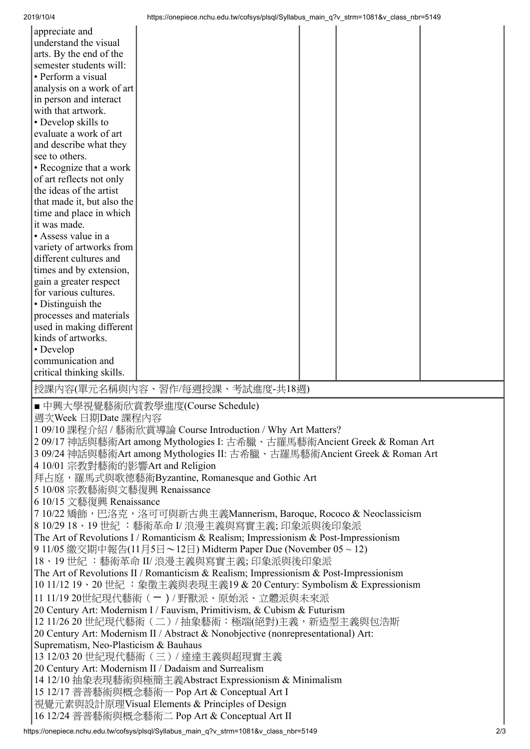| 2019/10/4 |  |
|-----------|--|

| 2019/10/4                                                               |                                                                                       | https://onepiece.nchu.edu.tw/cofsys/plsql/Syllabus main q?v strm=1081&v class nbr=5149 |  |  |  |     |  |  |
|-------------------------------------------------------------------------|---------------------------------------------------------------------------------------|----------------------------------------------------------------------------------------|--|--|--|-----|--|--|
| appreciate and                                                          |                                                                                       |                                                                                        |  |  |  |     |  |  |
|                                                                         | understand the visual                                                                 |                                                                                        |  |  |  |     |  |  |
|                                                                         | arts. By the end of the                                                               |                                                                                        |  |  |  |     |  |  |
|                                                                         | semester students will:                                                               |                                                                                        |  |  |  |     |  |  |
|                                                                         | • Perform a visual                                                                    |                                                                                        |  |  |  |     |  |  |
|                                                                         | analysis on a work of art                                                             |                                                                                        |  |  |  |     |  |  |
|                                                                         | in person and interact                                                                |                                                                                        |  |  |  |     |  |  |
|                                                                         | with that artwork.                                                                    |                                                                                        |  |  |  |     |  |  |
|                                                                         | • Develop skills to                                                                   |                                                                                        |  |  |  |     |  |  |
|                                                                         | evaluate a work of art                                                                |                                                                                        |  |  |  |     |  |  |
|                                                                         | and describe what they                                                                |                                                                                        |  |  |  |     |  |  |
| see to others.                                                          |                                                                                       |                                                                                        |  |  |  |     |  |  |
|                                                                         | • Recognize that a work                                                               |                                                                                        |  |  |  |     |  |  |
|                                                                         | of art reflects not only                                                              |                                                                                        |  |  |  |     |  |  |
|                                                                         | the ideas of the artist                                                               |                                                                                        |  |  |  |     |  |  |
|                                                                         |                                                                                       |                                                                                        |  |  |  |     |  |  |
|                                                                         | that made it, but also the                                                            |                                                                                        |  |  |  |     |  |  |
|                                                                         | time and place in which                                                               |                                                                                        |  |  |  |     |  |  |
| it was made.                                                            |                                                                                       |                                                                                        |  |  |  |     |  |  |
|                                                                         | • Assess value in a                                                                   |                                                                                        |  |  |  |     |  |  |
|                                                                         | variety of artworks from                                                              |                                                                                        |  |  |  |     |  |  |
|                                                                         | different cultures and                                                                |                                                                                        |  |  |  |     |  |  |
|                                                                         | times and by extension,                                                               |                                                                                        |  |  |  |     |  |  |
|                                                                         | gain a greater respect                                                                |                                                                                        |  |  |  |     |  |  |
|                                                                         | for various cultures.                                                                 |                                                                                        |  |  |  |     |  |  |
| • Distinguish the                                                       |                                                                                       |                                                                                        |  |  |  |     |  |  |
|                                                                         | processes and materials                                                               |                                                                                        |  |  |  |     |  |  |
|                                                                         | used in making different                                                              |                                                                                        |  |  |  |     |  |  |
|                                                                         | kinds of artworks.                                                                    |                                                                                        |  |  |  |     |  |  |
| • Develop                                                               |                                                                                       |                                                                                        |  |  |  |     |  |  |
|                                                                         | communication and                                                                     |                                                                                        |  |  |  |     |  |  |
|                                                                         | critical thinking skills.                                                             |                                                                                        |  |  |  |     |  |  |
|                                                                         |                                                                                       | 授課内容(單元名稱與內容、習作/每週授課、考試進度-共18週)                                                        |  |  |  |     |  |  |
|                                                                         |                                                                                       |                                                                                        |  |  |  |     |  |  |
|                                                                         |                                                                                       | ■ 中興大學視覺藝術欣賞教學進度(Course Schedule)                                                      |  |  |  |     |  |  |
|                                                                         | 週次Week 日期Date 課程內容                                                                    |                                                                                        |  |  |  |     |  |  |
|                                                                         |                                                                                       | 1 09/10 課程介紹 / 藝術欣賞導論 Course Introduction / Why Art Matters?                           |  |  |  |     |  |  |
|                                                                         |                                                                                       | 2 09/17 神話與藝術Art among Mythologies I: 古希臘、古羅馬藝術Ancient Greek & Roman Art               |  |  |  |     |  |  |
|                                                                         |                                                                                       | 3 09/24 神話與藝術Art among Mythologies II: 古希臘、古羅馬藝術Ancient Greek & Roman Art              |  |  |  |     |  |  |
|                                                                         |                                                                                       | 4 10/01 宗教對藝術的影響Art and Religion                                                       |  |  |  |     |  |  |
|                                                                         |                                                                                       | 拜占庭,羅馬式與歌德藝術Byzantine, Romanesque and Gothic Art                                       |  |  |  |     |  |  |
|                                                                         |                                                                                       | 5 10/08 宗教藝術與文藝復興 Renaissance                                                          |  |  |  |     |  |  |
|                                                                         | 6 10/15 文藝復興 Renaissance                                                              |                                                                                        |  |  |  |     |  |  |
|                                                                         |                                                                                       | 7 10/22 矯飾, 巴洛克, 洛可可與新古典主義Mannerism, Baroque, Rococo & Neoclassicism                   |  |  |  |     |  |  |
|                                                                         |                                                                                       |                                                                                        |  |  |  |     |  |  |
|                                                                         | 8 10/29 18、19世紀: 藝術革命 I/ 浪漫主義與寫實主義; 印象派與後印象派                                          |                                                                                        |  |  |  |     |  |  |
|                                                                         | The Art of Revolutions I / Romanticism & Realism; Impressionism & Post-Impressionism  |                                                                                        |  |  |  |     |  |  |
| 9 11/05 繳交期中報告(11月5日~12日) Midterm Paper Due (November 05~12)            |                                                                                       |                                                                                        |  |  |  |     |  |  |
| 18、19 世紀 :藝術革命 II/ 浪漫主義與寫實主義; 印象派與後印象派                                  |                                                                                       |                                                                                        |  |  |  |     |  |  |
|                                                                         | The Art of Revolutions II / Romanticism & Realism; Impressionism & Post-Impressionism |                                                                                        |  |  |  |     |  |  |
| 10 11/12 19、20世紀: 象徵主義與表現主義19 & 20 Century: Symbolism & Expressionism   |                                                                                       |                                                                                        |  |  |  |     |  |  |
| 11 11/19 20世紀現代藝術 (一) / 野獸派、原始派、立體派與未來派                                 |                                                                                       |                                                                                        |  |  |  |     |  |  |
| 20 Century Art: Modernism I / Fauvism, Primitivism, & Cubism & Futurism |                                                                                       |                                                                                        |  |  |  |     |  |  |
|                                                                         | 12 11/26 20 世紀現代藝術 (二) / 抽象藝術:極端(絕對)主義, 新造型主義與包浩斯                                     |                                                                                        |  |  |  |     |  |  |
|                                                                         |                                                                                       | 20 Century Art: Modernism II / Abstract & Nonobjective (nonrepresentational) Art:      |  |  |  |     |  |  |
|                                                                         | Suprematism, Neo-Plasticism & Bauhaus                                                 |                                                                                        |  |  |  |     |  |  |
|                                                                         | 13 12/03 20 世紀現代藝術 (三) / 達達主義與超現實主義                                                   |                                                                                        |  |  |  |     |  |  |
| 20 Century Art: Modernism II / Dadaism and Surrealism                   |                                                                                       |                                                                                        |  |  |  |     |  |  |
| 14 12/10 抽象表現藝術與極簡主義Abstract Expressionism & Minimalism                 |                                                                                       |                                                                                        |  |  |  |     |  |  |
| 15 12/17 普普藝術與概念藝術一 Pop Art & Conceptual Art I                          |                                                                                       |                                                                                        |  |  |  |     |  |  |
|                                                                         | 視覺元素與設計原理Visual Elements & Principles of Design                                       |                                                                                        |  |  |  |     |  |  |
|                                                                         |                                                                                       | 16 12/24 普普藝術與概念藝術二 Pop Art & Conceptual Art II                                        |  |  |  |     |  |  |
|                                                                         |                                                                                       | https://onepiece.nchu.edu.tw/cofsys/plsql/Syllabus_main_q?v_strm=1081&v_class_nbr=5149 |  |  |  | 2/3 |  |  |
|                                                                         |                                                                                       |                                                                                        |  |  |  |     |  |  |